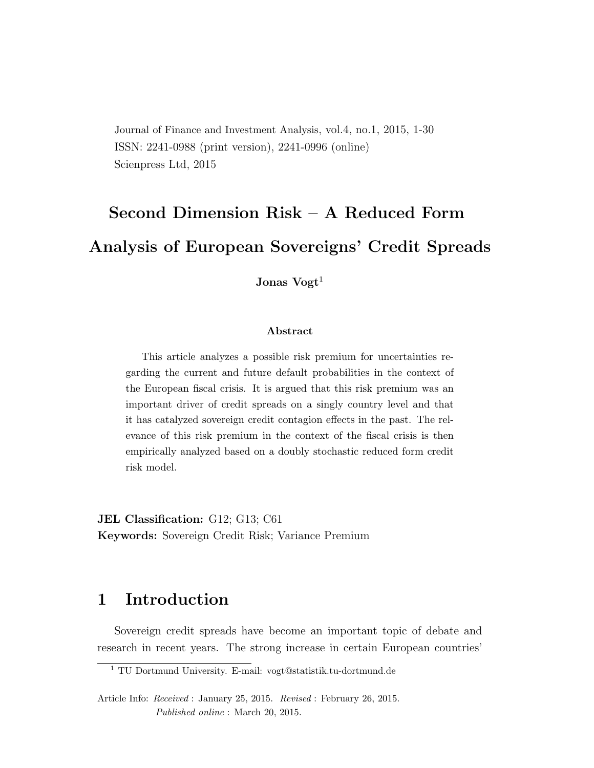Journal of Finance and Investment Analysis, vol.4, no.1, 2015, 1-30 ISSN: 2241-0988 (print version), 2241-0996 (online) Scienpress Ltd, 2015

# Second Dimension Risk – A Reduced Form Analysis of European Sovereigns' Credit Spreads

Jonas  $V$ ogt<sup>1</sup>

#### Abstract

This article analyzes a possible risk premium for uncertainties regarding the current and future default probabilities in the context of the European fiscal crisis. It is argued that this risk premium was an important driver of credit spreads on a singly country level and that it has catalyzed sovereign credit contagion effects in the past. The relevance of this risk premium in the context of the fiscal crisis is then empirically analyzed based on a doubly stochastic reduced form credit risk model.

JEL Classification: G12; G13; C61 Keywords: Sovereign Credit Risk; Variance Premium

## 1 Introduction

Sovereign credit spreads have become an important topic of debate and research in recent years. The strong increase in certain European countries'

<sup>1</sup> TU Dortmund University. E-mail: vogt@statistik.tu-dortmund.de

Article Info: Received : January 25, 2015. Revised : February 26, 2015. Published online : March 20, 2015.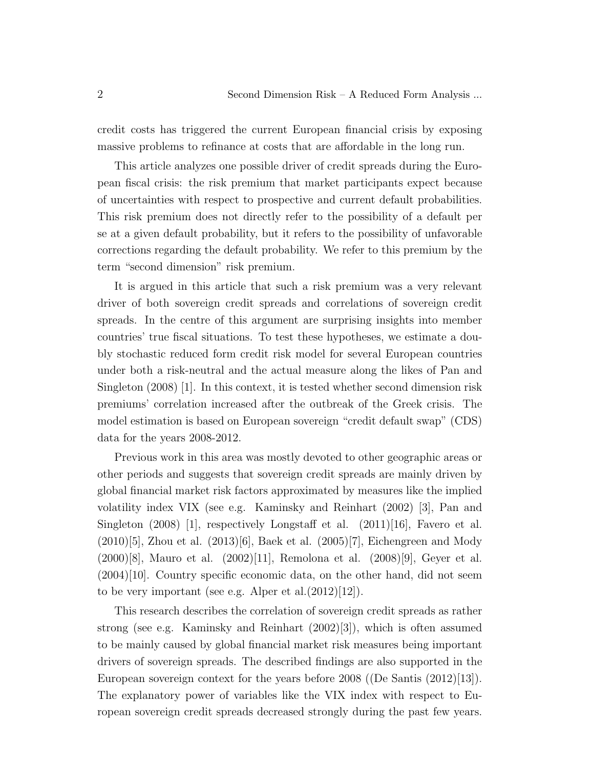credit costs has triggered the current European financial crisis by exposing massive problems to refinance at costs that are affordable in the long run.

This article analyzes one possible driver of credit spreads during the European fiscal crisis: the risk premium that market participants expect because of uncertainties with respect to prospective and current default probabilities. This risk premium does not directly refer to the possibility of a default per se at a given default probability, but it refers to the possibility of unfavorable corrections regarding the default probability. We refer to this premium by the term "second dimension" risk premium.

It is argued in this article that such a risk premium was a very relevant driver of both sovereign credit spreads and correlations of sovereign credit spreads. In the centre of this argument are surprising insights into member countries' true fiscal situations. To test these hypotheses, we estimate a doubly stochastic reduced form credit risk model for several European countries under both a risk-neutral and the actual measure along the likes of Pan and Singleton (2008) [1]. In this context, it is tested whether second dimension risk premiums' correlation increased after the outbreak of the Greek crisis. The model estimation is based on European sovereign "credit default swap" (CDS) data for the years 2008-2012.

Previous work in this area was mostly devoted to other geographic areas or other periods and suggests that sovereign credit spreads are mainly driven by global financial market risk factors approximated by measures like the implied volatility index VIX (see e.g. Kaminsky and Reinhart (2002) [3], Pan and Singleton  $(2008)$  [1], respectively Longstaff et al.  $(2011)$ [16], Favero et al.  $(2010)[5]$ , Zhou et al.  $(2013)[6]$ , Baek et al.  $(2005)[7]$ , Eichengreen and Mody (2000)[8], Mauro et al. (2002)[11], Remolona et al. (2008)[9], Geyer et al.  $(2004)[10]$ . Country specific economic data, on the other hand, did not seem to be very important (see e.g. Alper et al. $(2012)[12]$ ).

This research describes the correlation of sovereign credit spreads as rather strong (see e.g. Kaminsky and Reinhart (2002)[3]), which is often assumed to be mainly caused by global financial market risk measures being important drivers of sovereign spreads. The described findings are also supported in the European sovereign context for the years before 2008 ((De Santis (2012)[13]). The explanatory power of variables like the VIX index with respect to European sovereign credit spreads decreased strongly during the past few years.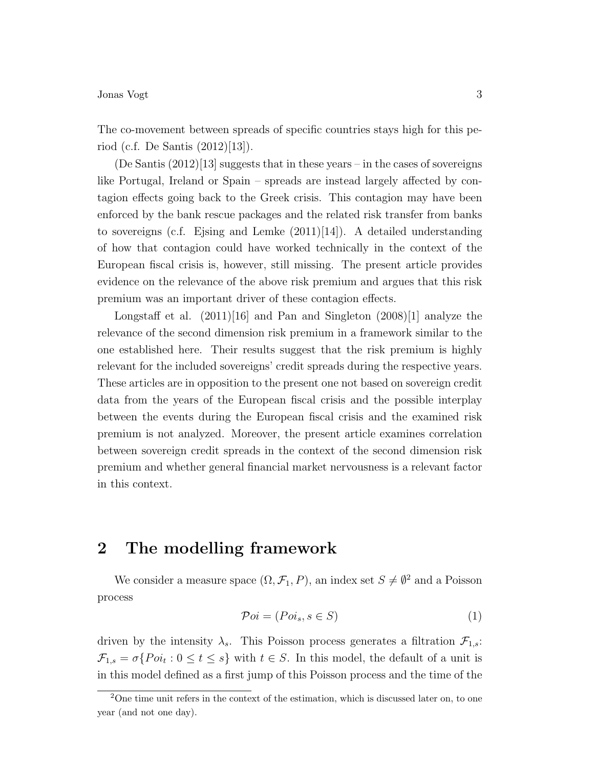The co-movement between spreads of specific countries stays high for this period (c.f. De Santis (2012)[13]).

 $(De Santis (2012)[13]$  suggests that in these years – in the cases of sovereigns like Portugal, Ireland or Spain – spreads are instead largely affected by contagion effects going back to the Greek crisis. This contagion may have been enforced by the bank rescue packages and the related risk transfer from banks to sovereigns (c.f. Ejsing and Lemke  $(2011)[14]$ ). A detailed understanding of how that contagion could have worked technically in the context of the European fiscal crisis is, however, still missing. The present article provides evidence on the relevance of the above risk premium and argues that this risk premium was an important driver of these contagion effects.

Longstaff et al.  $(2011)[16]$  and Pan and Singleton  $(2008)[1]$  analyze the relevance of the second dimension risk premium in a framework similar to the one established here. Their results suggest that the risk premium is highly relevant for the included sovereigns' credit spreads during the respective years. These articles are in opposition to the present one not based on sovereign credit data from the years of the European fiscal crisis and the possible interplay between the events during the European fiscal crisis and the examined risk premium is not analyzed. Moreover, the present article examines correlation between sovereign credit spreads in the context of the second dimension risk premium and whether general financial market nervousness is a relevant factor in this context.

## 2 The modelling framework

We consider a measure space  $(\Omega, \mathcal{F}_1, P)$ , an index set  $S \neq \emptyset^2$  and a Poisson process

$$
\mathcal{P}oi = (Poi_s, s \in S) \tag{1}
$$

driven by the intensity  $\lambda_s$ . This Poisson process generates a filtration  $\mathcal{F}_{1,s}$ :  $\mathcal{F}_{1,s} = \sigma\{Poi_t : 0 \le t \le s\}$  with  $t \in S$ . In this model, the default of a unit is in this model defined as a first jump of this Poisson process and the time of the

<sup>2</sup>One time unit refers in the context of the estimation, which is discussed later on, to one year (and not one day).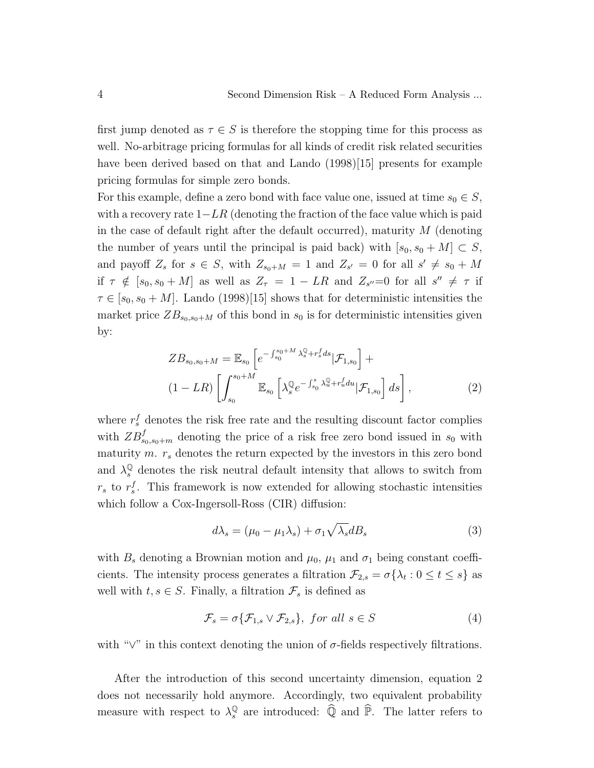first jump denoted as  $\tau \in S$  is therefore the stopping time for this process as well. No-arbitrage pricing formulas for all kinds of credit risk related securities have been derived based on that and Lando (1998)[15] presents for example pricing formulas for simple zero bonds.

For this example, define a zero bond with face value one, issued at time  $s_0 \in S$ , with a recovery rate  $1-LR$  (denoting the fraction of the face value which is paid in the case of default right after the default occurred), maturity  $M$  (denoting the number of years until the principal is paid back) with  $[s_0, s_0 + M] \subset S$ , and payoff  $Z_s$  for  $s \in S$ , with  $Z_{s_0+M} = 1$  and  $Z_{s'} = 0$  for all  $s' \neq s_0 + M$ if  $\tau \notin [s_0, s_0 + M]$  as well as  $Z_{\tau} = 1 - LR$  and  $Z_{s''}=0$  for all  $s'' \neq \tau$  if  $\tau \in [s_0, s_0 + M]$ . Lando (1998)[15] shows that for deterministic intensities the market price  $ZB_{s_0,s_0+M}$  of this bond in  $s_0$  is for deterministic intensities given by:

$$
ZB_{s_0,s_0+M} = \mathbb{E}_{s_0} \left[ e^{-\int_{s_0}^{s_0+M} \lambda_s^{\mathbb{Q}} + r_s^f ds} | \mathcal{F}_{1,s_0} \right] +
$$
  

$$
(1 - LR) \left[ \int_{s_0}^{s_0+M} \mathbb{E}_{s_0} \left[ \lambda_s^{\mathbb{Q}} e^{-\int_{s_0}^s \lambda_u^{\mathbb{Q}} + r_u^f du} | \mathcal{F}_{1,s_0} \right] ds \right],
$$
 (2)

where  $r_s^f$  denotes the risk free rate and the resulting discount factor complies with  $ZB_{s_0,s_0+m}^f$  denoting the price of a risk free zero bond issued in  $s_0$  with maturity m.  $r_s$  denotes the return expected by the investors in this zero bond and  $\lambda_s^{\mathbb{Q}}$  denotes the risk neutral default intensity that allows to switch from  $r_s$  to  $r_s^f$ . This framework is now extended for allowing stochastic intensities which follow a Cox-Ingersoll-Ross (CIR) diffusion:

$$
d\lambda_s = (\mu_0 - \mu_1 \lambda_s) + \sigma_1 \sqrt{\lambda_s} dB_s \tag{3}
$$

with  $B_s$  denoting a Brownian motion and  $\mu_0$ ,  $\mu_1$  and  $\sigma_1$  being constant coefficients. The intensity process generates a filtration  $\mathcal{F}_{2,s} = \sigma\{\lambda_t : 0 \leq t \leq s\}$  as well with  $t, s \in S$ . Finally, a filtration  $\mathcal{F}_s$  is defined as

$$
\mathcal{F}_s = \sigma \{ \mathcal{F}_{1,s} \lor \mathcal{F}_{2,s} \}, \text{ for all } s \in S \tag{4}
$$

with " $\vee$ " in this context denoting the union of  $\sigma$ -fields respectively filtrations.

After the introduction of this second uncertainty dimension, equation 2 does not necessarily hold anymore. Accordingly, two equivalent probability measure with respect to  $\lambda_s^{\mathbb{Q}}$  $\frac{\mathbb{Q}}{s}$  are introduced:  $\widehat{\mathbb{Q}}$  and  $\widehat{\mathbb{P}}$ . The latter refers to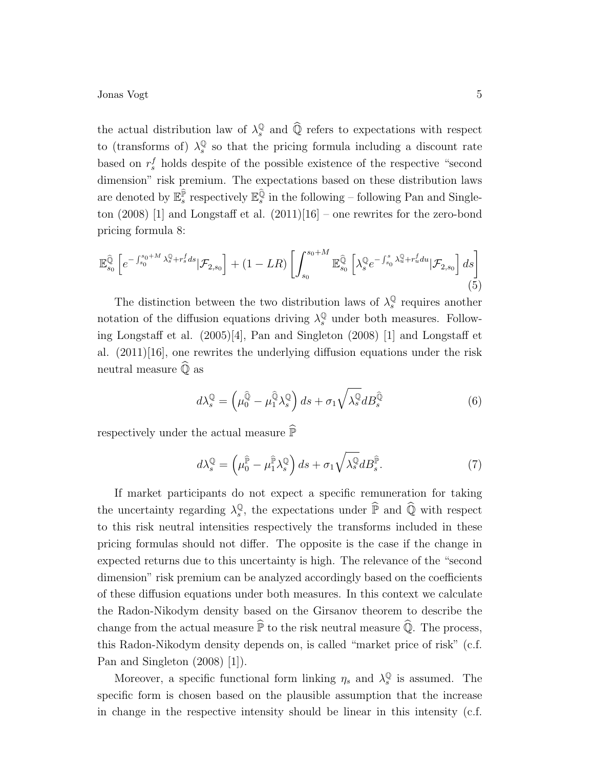the actual distribution law of  $\lambda_s^{\mathbb{Q}}$  $\mathbb{Q}$  and  $\widehat{\mathbb{Q}}$  refers to expectations with respect to (transforms of)  $\lambda_s^{\mathbb{Q}}$  $\frac{Q}{s}$  so that the pricing formula including a discount rate based on  $r_s^f$  holds despite of the possible existence of the respective "second dimension" risk premium. The expectations based on these distribution laws are denoted by  $\mathbb{E}_s^{\hat{P}}$  respectively  $\mathbb{E}_s^{\hat{Q}}$  in the following – following Pan and Singleton  $(2008)$  [1] and Longstaff et al.  $(2011)[16]$  – one rewrites for the zero-bond pricing formula 8:

$$
\mathbb{E}_{s_0}^{\widehat{\mathbb{Q}}}\left[e^{-\int_{s_0}^{s_0+M}\lambda_s^{\mathbb{Q}}+r_s^fds}|\mathcal{F}_{2,s_0}\right]+(1-LR)\left[\int_{s_0}^{s_0+M}\mathbb{E}_{s_0}^{\widehat{\mathbb{Q}}}\left[\lambda_s^{\mathbb{Q}}e^{-\int_{s_0}^{s}\lambda_u^{\mathbb{Q}}+r_u^fdu}|\mathcal{F}_{2,s_0}\right]ds\right]
$$
\n(5)

The distinction between the two distribution laws of  $\lambda_s^{\mathbb{Q}}$  $\frac{Q}{s}$  requires another notation of the diffusion equations driving  $\lambda_s^{\mathbb{Q}}$  under both measures. Following Longstaff et al. (2005)[4], Pan and Singleton (2008) [1] and Longstaff et al. (2011)[16], one rewrites the underlying diffusion equations under the risk neutral measure  $\overline{Q}$  as

$$
d\lambda_s^{\mathbb{Q}} = \left(\mu_0^{\widehat{\mathbb{Q}}} - \mu_1^{\widehat{\mathbb{Q}}}\lambda_s^{\mathbb{Q}}\right)ds + \sigma_1\sqrt{\lambda_s^{\mathbb{Q}}}dB_s^{\widehat{\mathbb{Q}}} \tag{6}
$$

respectively under the actual measure  $\widehat{\mathbb{P}}$ 

$$
d\lambda_s^{\mathbb{Q}} = \left(\mu_0^{\hat{\mathbb{P}}} - \mu_1^{\hat{\mathbb{P}}}\lambda_s^{\mathbb{Q}}\right)ds + \sigma_1\sqrt{\lambda_s^{\mathbb{Q}}}dB_s^{\hat{\mathbb{P}}}.
$$
\n(7)

If market participants do not expect a specific remuneration for taking the uncertainty regarding  $\lambda_s^{\mathbb{Q}}$  $\mathbb{Q}_s$ , the expectations under  $\widehat{\mathbb{P}}$  and  $\widehat{\mathbb{Q}}$  with respect to this risk neutral intensities respectively the transforms included in these pricing formulas should not differ. The opposite is the case if the change in expected returns due to this uncertainty is high. The relevance of the "second dimension" risk premium can be analyzed accordingly based on the coefficients of these diffusion equations under both measures. In this context we calculate the Radon-Nikodym density based on the Girsanov theorem to describe the change from the actual measure  $\widehat{P}$  to the risk neutral measure  $\widehat{Q}$ . The process, this Radon-Nikodym density depends on, is called "market price of risk" (c.f. Pan and Singleton (2008) [1]).

Moreover, a specific functional form linking  $\eta_s$  and  $\lambda_s^{\mathbb{Q}}$  $\frac{Q}{s}$  is assumed. The specific form is chosen based on the plausible assumption that the increase in change in the respective intensity should be linear in this intensity (c.f.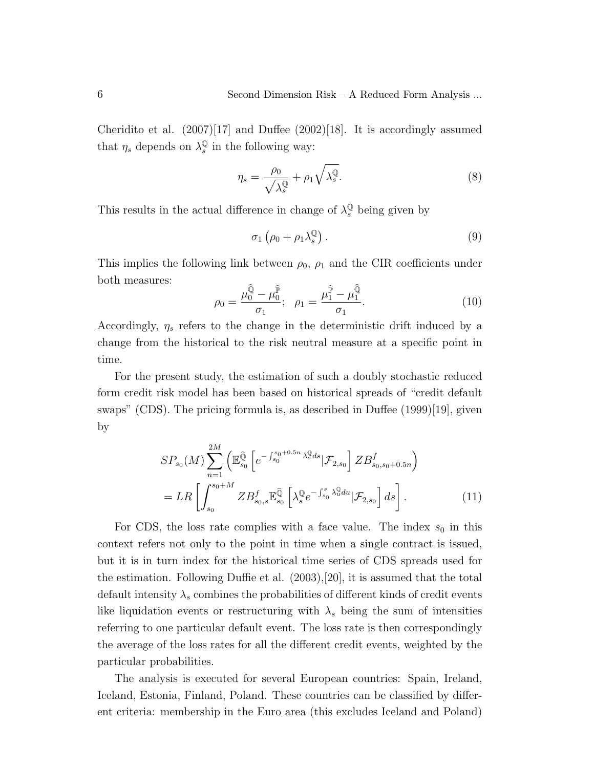Cheridito et al.  $(2007)[17]$  and Duffee  $(2002)[18]$ . It is accordingly assumed that  $\eta_s$  depends on  $\lambda_s^{\mathbb{Q}}$  $\frac{Q}{s}$  in the following way:

$$
\eta_s = \frac{\rho_0}{\sqrt{\lambda_s^{\mathbb{Q}}}} + \rho_1 \sqrt{\lambda_s^{\mathbb{Q}}}.\tag{8}
$$

This results in the actual difference in change of  $\lambda_s^{\mathbb{Q}}$  being given by

$$
\sigma_1\left(\rho_0 + \rho_1 \lambda_s^{\mathbb{Q}}\right). \tag{9}
$$

This implies the following link between  $\rho_0$ ,  $\rho_1$  and the CIR coefficients under both measures:

$$
\rho_0 = \frac{\mu_0^{\hat{\mathbb{Q}}} - \mu_0^{\hat{\mathbb{P}}}}{\sigma_1}; \quad \rho_1 = \frac{\mu_1^{\hat{\mathbb{P}}} - \mu_1^{\hat{\mathbb{Q}}}}{\sigma_1}.
$$
\n(10)

Accordingly,  $\eta_s$  refers to the change in the deterministic drift induced by a change from the historical to the risk neutral measure at a specific point in time.

For the present study, the estimation of such a doubly stochastic reduced form credit risk model has been based on historical spreads of "credit default swaps" (CDS). The pricing formula is, as described in Duffee (1999)[19], given by

$$
SP_{s_0}(M) \sum_{n=1}^{2M} \left( \mathbb{E}_{s_0}^{\widehat{\mathbb{Q}}} \left[ e^{-\int_{s_0}^{s_0+0.5n} \lambda_s^{\widehat{\mathbb{Q}}} ds} | \mathcal{F}_{2,s_0} \right] Z B_{s_0,s_0+0.5n}^f \right)
$$
  
= 
$$
LR \left[ \int_{s_0}^{s_0+M} Z B_{s_0,s}^f \mathbb{E}_{s_0}^{\widehat{\mathbb{Q}}} \left[ \lambda_s^{\mathbb{Q}} e^{-\int_{s_0}^s \lambda_u^{\mathbb{Q}} du} | \mathcal{F}_{2,s_0} \right] ds \right].
$$
 (11)

For CDS, the loss rate complies with a face value. The index  $s_0$  in this context refers not only to the point in time when a single contract is issued, but it is in turn index for the historical time series of CDS spreads used for the estimation. Following Duffie et al. (2003),[20], it is assumed that the total default intensity  $\lambda_s$  combines the probabilities of different kinds of credit events like liquidation events or restructuring with  $\lambda_s$  being the sum of intensities referring to one particular default event. The loss rate is then correspondingly the average of the loss rates for all the different credit events, weighted by the particular probabilities.

The analysis is executed for several European countries: Spain, Ireland, Iceland, Estonia, Finland, Poland. These countries can be classified by different criteria: membership in the Euro area (this excludes Iceland and Poland)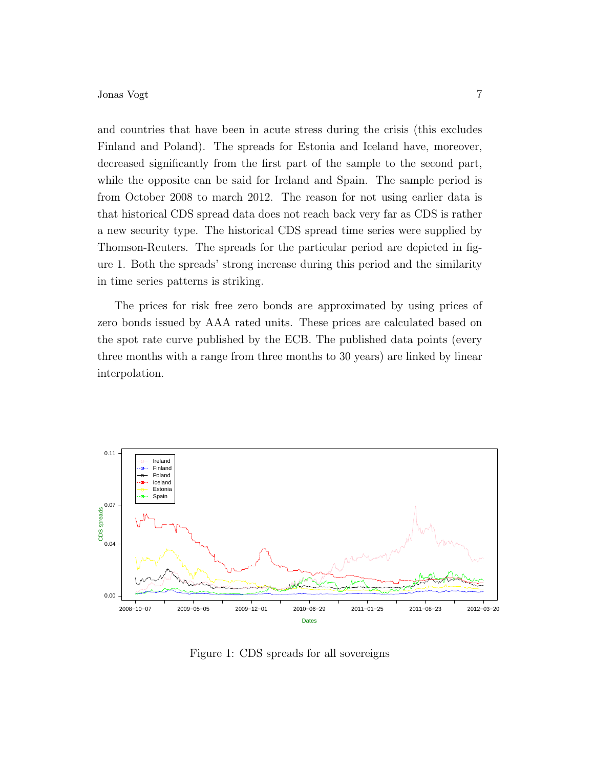and countries that have been in acute stress during the crisis (this excludes Finland and Poland). The spreads for Estonia and Iceland have, moreover, decreased significantly from the first part of the sample to the second part, while the opposite can be said for Ireland and Spain. The sample period is from October 2008 to march 2012. The reason for not using earlier data is that historical CDS spread data does not reach back very far as CDS is rather a new security type. The historical CDS spread time series were supplied by Thomson-Reuters. The spreads for the particular period are depicted in figure 1. Both the spreads' strong increase during this period and the similarity in time series patterns is striking.

The prices for risk free zero bonds are approximated by using prices of zero bonds issued by AAA rated units. These prices are calculated based on the spot rate curve published by the ECB. The published data points (every three months with a range from three months to 30 years) are linked by linear interpolation.



Figure 1: CDS spreads for all sovereigns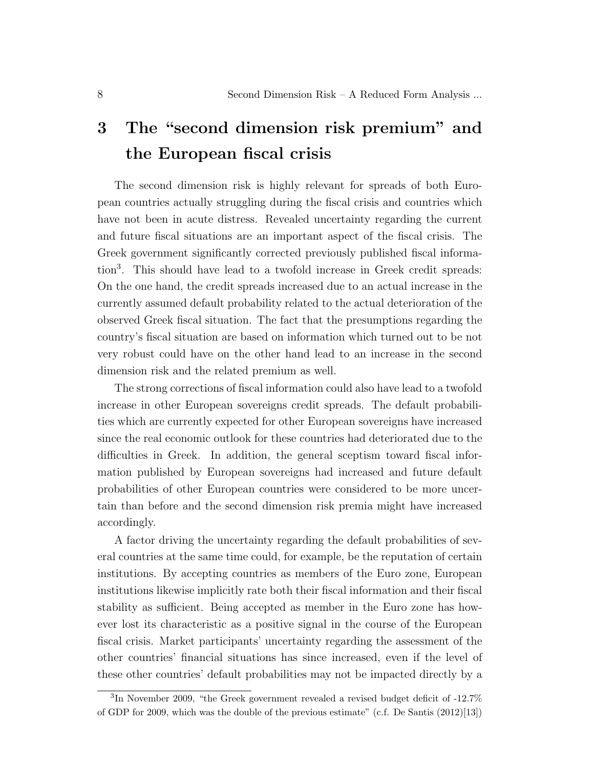## 3 The "second dimension risk premium" and the European fiscal crisis

The second dimension risk is highly relevant for spreads of both European countries actually struggling during the fiscal crisis and countries which have not been in acute distress. Revealed uncertainty regarding the current and future fiscal situations are an important aspect of the fiscal crisis. The Greek government significantly corrected previously published fiscal information<sup>3</sup> . This should have lead to a twofold increase in Greek credit spreads: On the one hand, the credit spreads increased due to an actual increase in the currently assumed default probability related to the actual deterioration of the observed Greek fiscal situation. The fact that the presumptions regarding the country's fiscal situation are based on information which turned out to be not very robust could have on the other hand lead to an increase in the second dimension risk and the related premium as well.

The strong corrections of fiscal information could also have lead to a twofold increase in other European sovereigns credit spreads. The default probabilities which are currently expected for other European sovereigns have increased since the real economic outlook for these countries had deteriorated due to the difficulties in Greek. In addition, the general sceptism toward fiscal information published by European sovereigns had increased and future default probabilities of other European countries were considered to be more uncertain than before and the second dimension risk premia might have increased accordingly.

A factor driving the uncertainty regarding the default probabilities of several countries at the same time could, for example, be the reputation of certain institutions. By accepting countries as members of the Euro zone, European institutions likewise implicitly rate both their fiscal information and their fiscal stability as sufficient. Being accepted as member in the Euro zone has however lost its characteristic as a positive signal in the course of the European fiscal crisis. Market participants' uncertainty regarding the assessment of the other countries' financial situations has since increased, even if the level of these other countries' default probabilities may not be impacted directly by a

<sup>&</sup>lt;sup>3</sup>In November 2009, "the Greek government revealed a revised budget deficit of -12.7% of GDP for 2009, which was the double of the previous estimate" (c.f. De Santis (2012)[13])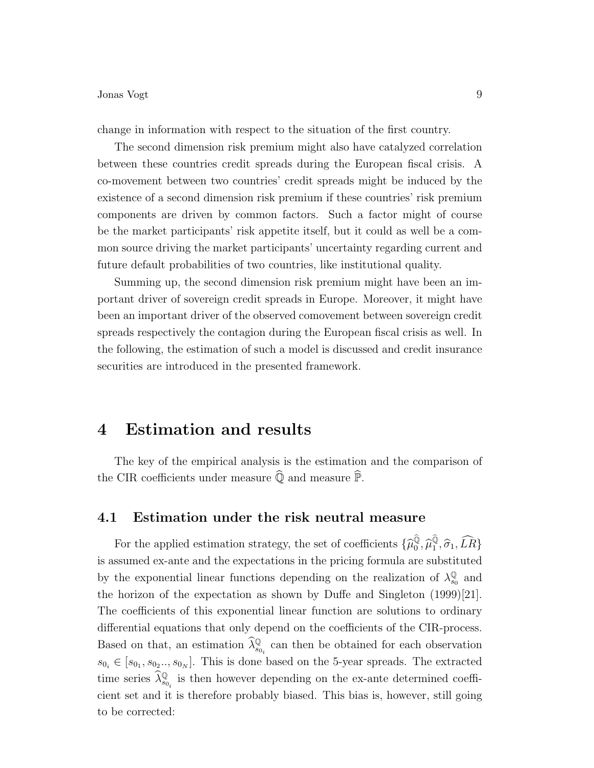change in information with respect to the situation of the first country.

The second dimension risk premium might also have catalyzed correlation between these countries credit spreads during the European fiscal crisis. A co-movement between two countries' credit spreads might be induced by the existence of a second dimension risk premium if these countries' risk premium components are driven by common factors. Such a factor might of course be the market participants' risk appetite itself, but it could as well be a common source driving the market participants' uncertainty regarding current and future default probabilities of two countries, like institutional quality.

Summing up, the second dimension risk premium might have been an important driver of sovereign credit spreads in Europe. Moreover, it might have been an important driver of the observed comovement between sovereign credit spreads respectively the contagion during the European fiscal crisis as well. In the following, the estimation of such a model is discussed and credit insurance securities are introduced in the presented framework.

## 4 Estimation and results

The key of the empirical analysis is the estimation and the comparison of the CIR coefficients under measure  $\widehat{\mathbb{Q}}$  and measure  $\widehat{\mathbb{P}}.$ 

### 4.1 Estimation under the risk neutral measure

For the applied estimation strategy, the set of coefficients  $\{\widehat{\mu}_0^{\widehat{\mathbb{Q}}}, \widehat{\mu}_1^{\widehat{\mathbb{Q}}}, \widehat{\sigma}_1, \widehat{LR}\}$ is assumed ex-ante and the expectations in the pricing formula are substituted by the exponential linear functions depending on the realization of  $\lambda_{ss}^{\mathbb{Q}}$  $\frac{\mathbb{Q}}{s_0}$  and the horizon of the expectation as shown by Duffe and Singleton (1999)[21]. The coefficients of this exponential linear function are solutions to ordinary differential equations that only depend on the coefficients of the CIR-process. Based on that, an estimation  $\widehat{\lambda}_{s_{0_i}}^{\mathbb{Q}}$  can then be obtained for each observation  $s_{0_i} \in [s_{0_1}, s_{0_2} \ldots, s_{0_N}]$ . This is done based on the 5-year spreads. The extracted time series  $\widehat{\lambda}_{s_{0_i}}^{\mathbb{Q}}$  is then however depending on the ex-ante determined coefficient set and it is therefore probably biased. This bias is, however, still going to be corrected: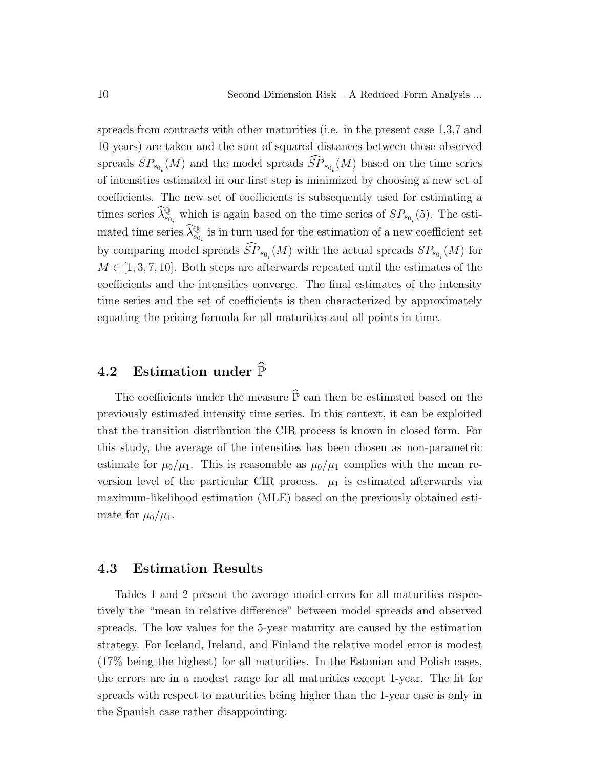spreads from contracts with other maturities (i.e. in the present case 1,3,7 and 10 years) are taken and the sum of squared distances between these observed spreads  $SP_{s_{0_i}}(M)$  and the model spreads  $SP_{s_{0_i}}(M)$  based on the time series of intensities estimated in our first step is minimized by choosing a new set of coefficients. The new set of coefficients is subsequently used for estimating a times series  $\widehat{\lambda}_{s_{0_i}}^{\mathbb{Q}}$  which is again based on the time series of  $SP_{s_{0_i}}(5)$ . The estimated time series  $\widehat{\lambda}_{s_{0_i}}^{\mathbb{Q}}$  is in turn used for the estimation of a new coefficient set by comparing model spreads  $SP_{s_{0_i}}(M)$  with the actual spreads  $SP_{s_{0_i}}(M)$  for  $M \in [1, 3, 7, 10]$ . Both steps are afterwards repeated until the estimates of the coefficients and the intensities converge. The final estimates of the intensity time series and the set of coefficients is then characterized by approximately equating the pricing formula for all maturities and all points in time.

## 4.2 Estimation under  $\widehat{\mathbb{P}}$

The coefficients under the measure  $\widehat{P}$  can then be estimated based on the previously estimated intensity time series. In this context, it can be exploited that the transition distribution the CIR process is known in closed form. For this study, the average of the intensities has been chosen as non-parametric estimate for  $\mu_0/\mu_1$ . This is reasonable as  $\mu_0/\mu_1$  complies with the mean reversion level of the particular CIR process.  $\mu_1$  is estimated afterwards via maximum-likelihood estimation (MLE) based on the previously obtained estimate for  $\mu_0/\mu_1$ .

#### 4.3 Estimation Results

Tables 1 and 2 present the average model errors for all maturities respectively the "mean in relative difference" between model spreads and observed spreads. The low values for the 5-year maturity are caused by the estimation strategy. For Iceland, Ireland, and Finland the relative model error is modest (17% being the highest) for all maturities. In the Estonian and Polish cases, the errors are in a modest range for all maturities except 1-year. The fit for spreads with respect to maturities being higher than the 1-year case is only in the Spanish case rather disappointing.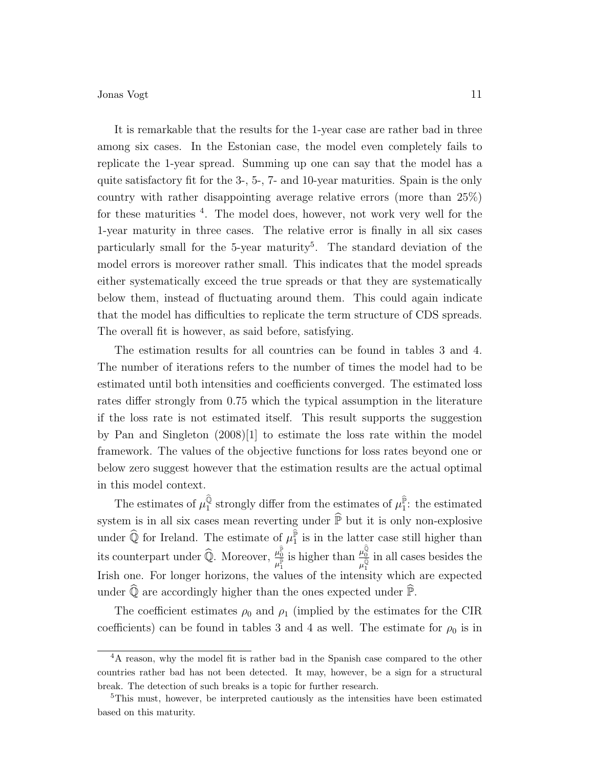It is remarkable that the results for the 1-year case are rather bad in three among six cases. In the Estonian case, the model even completely fails to replicate the 1-year spread. Summing up one can say that the model has a quite satisfactory fit for the 3-, 5-, 7- and 10-year maturities. Spain is the only country with rather disappointing average relative errors (more than 25%) for these maturities <sup>4</sup>. The model does, however, not work very well for the 1-year maturity in three cases. The relative error is finally in all six cases particularly small for the 5-year maturity<sup>5</sup>. The standard deviation of the model errors is moreover rather small. This indicates that the model spreads either systematically exceed the true spreads or that they are systematically below them, instead of fluctuating around them. This could again indicate that the model has difficulties to replicate the term structure of CDS spreads. The overall fit is however, as said before, satisfying.

The estimation results for all countries can be found in tables 3 and 4. The number of iterations refers to the number of times the model had to be estimated until both intensities and coefficients converged. The estimated loss rates differ strongly from 0.75 which the typical assumption in the literature if the loss rate is not estimated itself. This result supports the suggestion by Pan and Singleton (2008)[1] to estimate the loss rate within the model framework. The values of the objective functions for loss rates beyond one or below zero suggest however that the estimation results are the actual optimal in this model context.

The estimates of  $\mu_1^{\hat{\mathbb{Q}}}$  strongly differ from the estimates of  $\mu_1^{\hat{\mathbb{P}}}$ : the estimated system is in all six cases mean reverting under  $\widehat{P}$  but it is only non-explosive under  $\widehat{Q}$  for Ireland. The estimate of  $\mu_{1}^{\widehat{P}}$  is in the latter case still higher than its counterpart under  $\widehat{\mathbb{Q}}$ . Moreover,  $\frac{\mu_0^{\widehat{\mathbb{P}}}}{\mu_1^{\widehat{\mathbb{P}}}}$  $\frac{\mu_0^{\widehat{p}}}{\mu_1^{\widehat{p}}}$  is higher than  $\frac{\mu_0^{\widehat{Q}}}{\mu_1^{\widehat{Q}}}$  $\mu_1^{\widehat{\mathbb{Q}}}$ in all cases besides the Irish one. For longer horizons, the values of the intensity which are expected under  $\widehat{\mathbb{Q}}$  are accordingly higher than the ones expected under  $\widehat{\mathbb{P}}$ .

The coefficient estimates  $\rho_0$  and  $\rho_1$  (implied by the estimates for the CIR coefficients) can be found in tables 3 and 4 as well. The estimate for  $\rho_0$  is in

<sup>&</sup>lt;sup>4</sup>A reason, why the model fit is rather bad in the Spanish case compared to the other countries rather bad has not been detected. It may, however, be a sign for a structural break. The detection of such breaks is a topic for further research.

<sup>&</sup>lt;sup>5</sup>This must, however, be interpreted cautiously as the intensities have been estimated based on this maturity.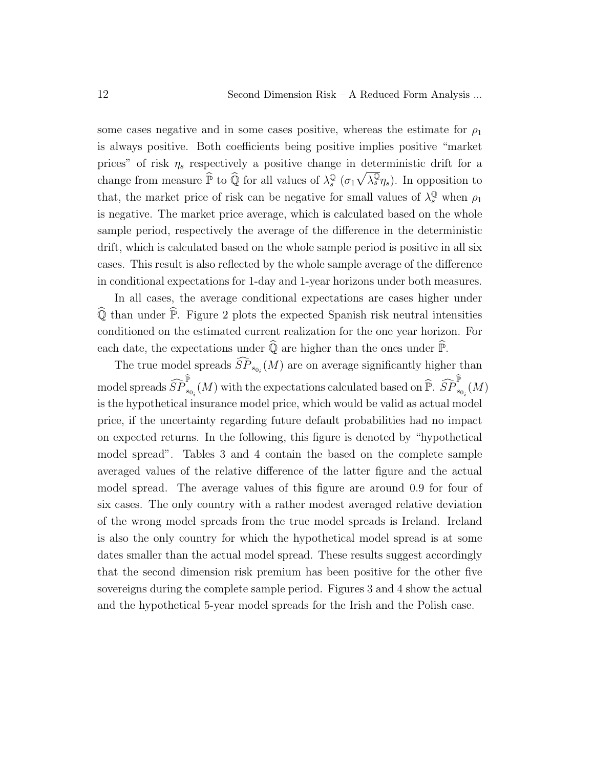some cases negative and in some cases positive, whereas the estimate for  $\rho_1$ is always positive. Both coefficients being positive implies positive "market prices" of risk  $\eta_s$  respectively a positive change in deterministic drift for a change from measure  $\widehat{P}$  to  $\widehat{Q}$  for all values of  $\lambda_s^{\mathbb{Q}}$  $\int_s^{\mathbb{Q}} (\sigma_1 \sqrt{\lambda_s^{\mathbb{Q}}} \eta_s)$ . In opposition to that, the market price of risk can be negative for small values of  $\lambda_s^{\mathbb{Q}}$  when  $\rho_1$ is negative. The market price average, which is calculated based on the whole sample period, respectively the average of the difference in the deterministic drift, which is calculated based on the whole sample period is positive in all six cases. This result is also reflected by the whole sample average of the difference in conditional expectations for 1-day and 1-year horizons under both measures.

In all cases, the average conditional expectations are cases higher under  $\widehat{\mathbb{Q}}$  than under  $\widehat{\mathbb{P}}$ . Figure 2 plots the expected Spanish risk neutral intensities conditioned on the estimated current realization for the one year horizon. For each date, the expectations under  $\widehat{\mathbb{Q}}$  are higher than the ones under  $\widehat{\mathbb{P}}$ .

The true model spreads  $SP_{s_{0_i}}(M)$  are on average significantly higher than  ${\rm model~spreads}~\widehat{SP}_{s_{0_i}}^{\widehat{\mathbb{P}}}(M)$  with the expectations calculated based on  $\widehat{\mathbb{P}}.~\widehat{SP}_{s_{0_i}}^{\widehat{\mathbb{P}}}(M)$ is the hypothetical insurance model price, which would be valid as actual model price, if the uncertainty regarding future default probabilities had no impact on expected returns. In the following, this figure is denoted by "hypothetical model spread". Tables 3 and 4 contain the based on the complete sample averaged values of the relative difference of the latter figure and the actual model spread. The average values of this figure are around 0.9 for four of six cases. The only country with a rather modest averaged relative deviation of the wrong model spreads from the true model spreads is Ireland. Ireland is also the only country for which the hypothetical model spread is at some dates smaller than the actual model spread. These results suggest accordingly that the second dimension risk premium has been positive for the other five sovereigns during the complete sample period. Figures 3 and 4 show the actual and the hypothetical 5-year model spreads for the Irish and the Polish case.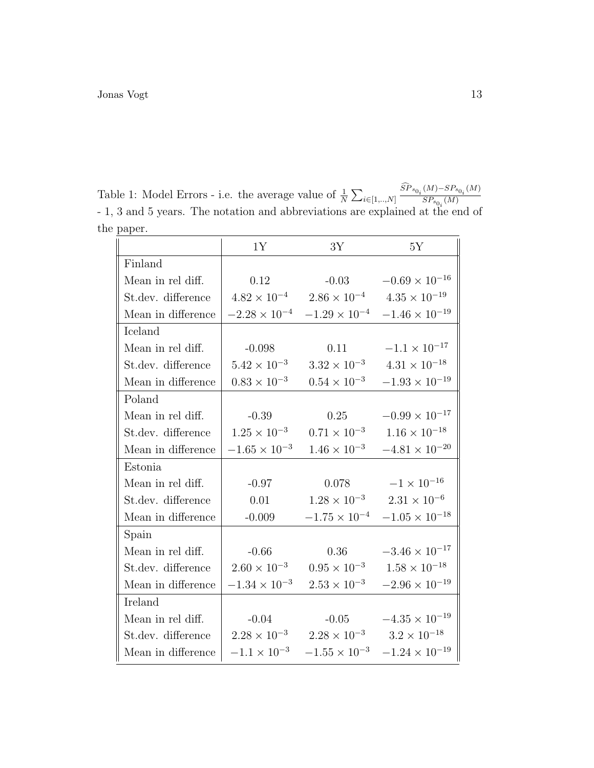Table 1: Model Errors - i.e. the average value of  $\frac{1}{N} \sum_{i \in [1, ..., N]} \frac{\dot{SP}_{s_{0_i}}(M) - SP_{s_{0_i}}(M)}{SP_{s_{0_i}}(M)}$  $SP_{s_{0_i}}(M)$ - 1, 3 and 5 years. The notation and abbreviations are explained at the end of the paper.

|                    | 1Y                     | 3Y                                                                 | 5Y                                           |
|--------------------|------------------------|--------------------------------------------------------------------|----------------------------------------------|
| Finland            |                        |                                                                    |                                              |
| Mean in rel diff.  | 0.12                   |                                                                    | $-0.03$ $-0.69 \times 10^{-16}$              |
| St.dev. difference |                        | $4.82 \times 10^{-4}$ $2.86 \times 10^{-4}$ $4.35 \times 10^{-19}$ |                                              |
| Mean in difference |                        | $-2.28 \times 10^{-4}$ $-1.29 \times 10^{-4}$                      | $-1.46 \times 10^{-19}$                      |
| Iceland            |                        |                                                                    |                                              |
| Mean in rel diff.  | $-0.098$               | 0.11                                                               | $-1.1 \times 10^{-17}$                       |
| St.dev. difference | $5.42 \times 10^{-3}$  |                                                                    | $3.32 \times 10^{-3}$ $4.31 \times 10^{-18}$ |
| Mean in difference | $0.83 \times 10^{-3}$  | $0.54 \times 10^{-3}$                                              | $-1.93\times10^{-19}$                        |
| Poland             |                        |                                                                    |                                              |
| Mean in rel diff.  | $-0.39$                | 0.25                                                               | $-0.99 \times 10^{-17}$                      |
| St.dev. difference | $1.25 \times 10^{-3}$  |                                                                    | $0.71 \times 10^{-3}$ $1.16 \times 10^{-18}$ |
| Mean in difference | $-1.65 \times 10^{-3}$ | $1.46 \times 10^{-3}$                                              | $-4.81 \times 10^{-20}$                      |
| Estonia            |                        |                                                                    |                                              |
| Mean in rel diff.  | $-0.97$                | 0.078                                                              | $-1 \times 10^{-16}$                         |
| St.dev. difference | 0.01                   | $1.28 \times 10^{-3}$                                              | $2.31\times10^{-6}$                          |
| Mean in difference | $-0.009$               | $-1.75 \times 10^{-4}$                                             | $-1.05 \times 10^{-18}$                      |
| Spain              |                        |                                                                    |                                              |
| Mean in rel diff.  | $-0.66$                | 0.36                                                               | $-3.46\times10^{-17}$                        |
| St.dev. difference | $2.60 \times 10^{-3}$  | $0.95 \times 10^{-3}$                                              | $1.58\times10^{-18}$                         |
| Mean in difference | $-1.34\times10^{-3}$   | $2.53 \times 10^{-3}$                                              | $-2.96 \times 10^{-19}$                      |
| Ireland            |                        |                                                                    |                                              |
| Mean in rel diff.  | $-0.04$                |                                                                    | $-0.05$ $-4.35 \times 10^{-19}$              |
| St.dev. difference |                        | $2.28 \times 10^{-3}$ $2.28 \times 10^{-3}$ $3.2 \times 10^{-18}$  |                                              |
| Mean in difference | $-1.1 \times 10^{-3}$  | $-1.55 \times 10^{-3}$                                             | $-1.24\times10^{-19}$                        |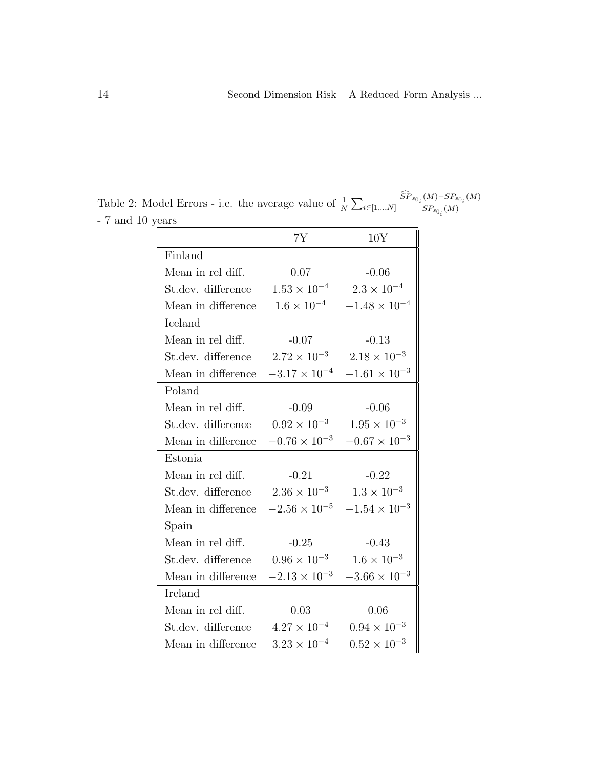7Y 10Y Finland Mean in rel diff.  $\vert$  0.07 -0.06 St.dev. difference  $1.53 \times 10^{-4}$  2.3 × 10<sup>-4</sup> Mean in difference  $1.6 \times 10^{-4}$  −1.48 × 10<sup>-4</sup> Iceland Mean in rel diff.  $\vert$  -0.07 -0.13 St.dev. difference  $\begin{array}{|c|c|c|c|c|} \hline 2.72 \times 10^{-3} & 2.18 \times 10^{-3} \hline \end{array}$ Mean in difference  $-3.17 \times 10^{-4}$   $-1.61 \times 10^{-3}$ Poland Mean in rel diff.  $\vert$   $-0.09$   $-0.06$ St.dev. difference  $\begin{array}{|c} \n\end{array}$  0.92 × 10<sup>-3</sup> 1.95 × 10<sup>-3</sup> Mean in difference  $-0.76 \times 10^{-3}$   $-0.67 \times 10^{-3}$ Estonia Mean in rel diff.  $\vert$  -0.21 -0.22 St.dev. difference  $\begin{array}{|c} \n\end{array}$  2.36 × 10<sup>-3</sup> 1.3 × 10<sup>-3</sup> Mean in difference  $\vert -2.56 \times 10^{-5} \quad -1.54 \times 10^{-3}$ Spain Mean in rel diff.  $\vert$   $-0.25$   $-0.43$ St.dev. difference  $\begin{array}{|c} 0.96 \times 10^{-3} \end{array}$  1.6 × 10<sup>-3</sup> Mean in difference  $| -2.13 \times 10^{-3} -3.66 \times 10^{-3}$ Ireland Mean in rel diff.  $\vert$  0.03 0.06 St.dev. difference  $4.27 \times 10^{-4}$  0.94 × 10<sup>-3</sup> Mean in difference  $3.23 \times 10^{-4}$  0.52 × 10<sup>-3</sup>

Table 2: Model Errors - i.e. the average value of  $\frac{1}{N} \sum_{i \in [1, ..., N]} \frac{SP_{s_{0_i}}(M) - SP_{s_{0_i}}(M)}{SP_{s_{0_i}}(M)}$  $SP_{s_{0_i}}(M)$ - 7 and 10 years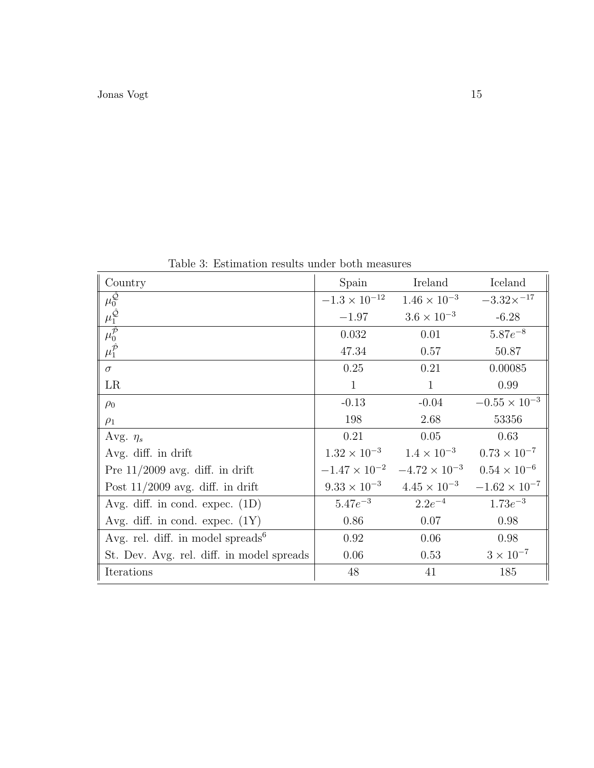| Country                                       | Spain                  | Ireland                                    | Iceland                |
|-----------------------------------------------|------------------------|--------------------------------------------|------------------------|
| $\frac{\mu_0^{\hat{Q}}}{\mu_1^{\hat{Q}}}$     | $-1.3 \times 10^{-12}$ | $1.46 \times 10^{-3}$                      | $-3.32\times^{-17}$    |
|                                               | $-1.97$                | $3.6 \times 10^{-3}$                       | $-6.28$                |
|                                               | 0.032                  | 0.01                                       | $5.87e^{-8}$           |
| $\mu_1^{\hat{\mathcal{P}}}$                   | 47.34                  | 0.57                                       | 50.87                  |
| $\sigma$                                      | 0.25                   | 0.21                                       | 0.00085                |
| LR                                            | $\mathbf{1}$           | $\mathbf{1}$                               | 0.99                   |
| $\rho_0$                                      | $-0.13$                | $-0.04$                                    | $-0.55 \times 10^{-3}$ |
| $\rho_1$                                      | 198                    | 2.68                                       | 53356                  |
| Avg. $\eta_s$                                 | 0.21                   | 0.05                                       | 0.63                   |
| Avg. diff. in drift                           |                        | $1.32 \times 10^{-3}$ $1.4 \times 10^{-3}$ | $0.73 \times 10^{-7}$  |
| Pre $11/2009$ avg. diff. in drift             | $-1.47 \times 10^{-2}$ | $-4.72 \times 10^{-3}$                     | $0.54 \times 10^{-6}$  |
| Post $11/2009$ avg. diff. in drift            | $9.33 \times 10^{-3}$  | $4.45 \times 10^{-3}$                      | $-1.62 \times 10^{-7}$ |
| Avg. diff. in cond. expec. $(1D)$             | $5.47e^{-3}$           | $2.2e^{-4}$                                | $1.73e^{-3}$           |
| Avg. diff. in cond. expec. $(1Y)$             | 0.86                   | 0.07                                       | 0.98                   |
| Avg. rel. diff. in model spreads <sup>6</sup> | 0.92                   | 0.06                                       | 0.98                   |
| St. Dev. Avg. rel. diff. in model spreads     | 0.06                   | 0.53                                       | $3 \times 10^{-7}$     |
| Iterations                                    | 48                     | 41                                         | 185                    |

Table 3: Estimation results under both measures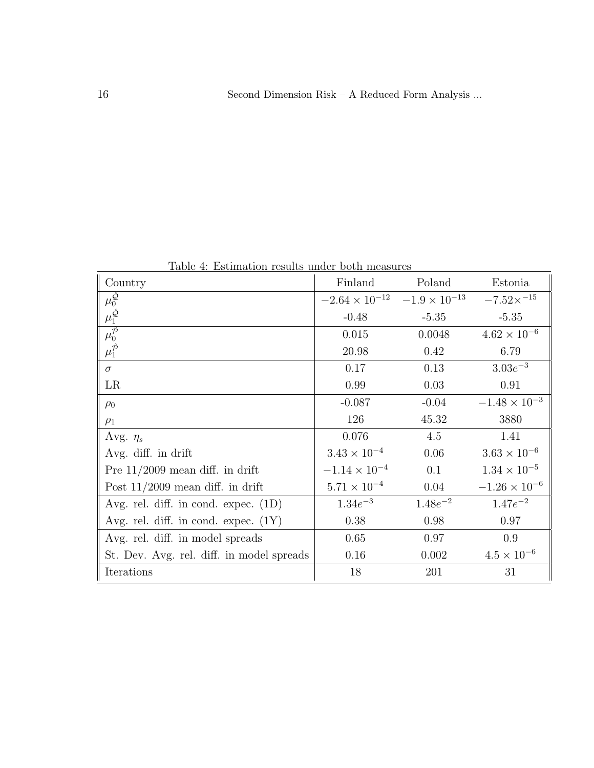Table 4: Estimation results under both measures

| Country                                   | Finland                                        | Poland       | Estonia                |
|-------------------------------------------|------------------------------------------------|--------------|------------------------|
| $\overline{\mu^{\hat{Q}}_0}$              | $-2.64 \times 10^{-12}$ $-1.9 \times 10^{-13}$ |              | $-7.52\times^{-15}$    |
|                                           | $-0.48$                                        | $-5.35$      | $-5.35$                |
| $\overline{\mu_0^{\hat{\mathcal{P}}}}$    | 0.015                                          | 0.0048       | $4.62 \times 10^{-6}$  |
|                                           | 20.98                                          | 0.42         | 6.79                   |
| $\sigma$                                  | 0.17                                           | 0.13         | $3.03e^{-3}$           |
| LR                                        | 0.99                                           | 0.03         | 0.91                   |
| $\rho_0$                                  | $-0.087$                                       | $-0.04$      | $-1.48 \times 10^{-3}$ |
| $\rho_1$                                  | 126                                            | 45.32        | 3880                   |
| Avg. $\eta_s$                             | 0.076                                          | 4.5          | 1.41                   |
| Avg. diff. in drift                       | $3.43 \times 10^{-4}$                          | 0.06         | $3.63 \times 10^{-6}$  |
| Pre $11/2009$ mean diff. in drift         | $-1.14 \times 10^{-4}$                         | 0.1          | $1.34 \times 10^{-5}$  |
| Post $11/2009$ mean diff. in drift        | $5.71 \times 10^{-4}$                          | 0.04         | $-1.26 \times 10^{-6}$ |
| Avg. rel. diff. in cond. expec. $(1D)$    | $1.34e^{-3}$                                   | $1.48e^{-2}$ | $1.47e^{-2}$           |
| Avg. rel. diff. in cond. expec. $(1Y)$    | 0.38                                           | 0.98         | 0.97                   |
| Avg. rel. diff. in model spreads          | 0.65                                           | 0.97         | 0.9                    |
| St. Dev. Avg. rel. diff. in model spreads | 0.16                                           | 0.002        | $4.5 \times 10^{-6}$   |
| Iterations                                | 18                                             | 201          | 31                     |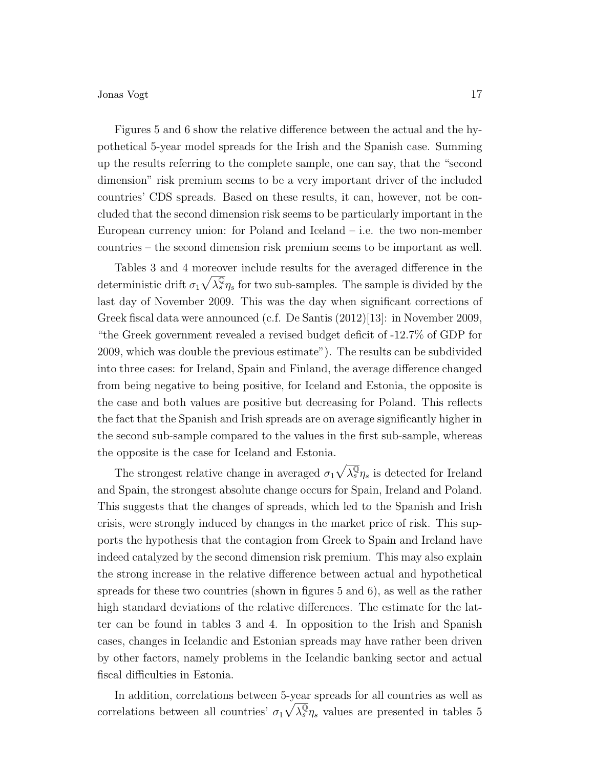Figures 5 and 6 show the relative difference between the actual and the hypothetical 5-year model spreads for the Irish and the Spanish case. Summing up the results referring to the complete sample, one can say, that the "second dimension" risk premium seems to be a very important driver of the included countries' CDS spreads. Based on these results, it can, however, not be concluded that the second dimension risk seems to be particularly important in the European currency union: for Poland and Iceland  $-$  i.e. the two non-member countries – the second dimension risk premium seems to be important as well.

Tables 3 and 4 moreover include results for the averaged difference in the deterministic drift  $\sigma_1 \sqrt{\lambda_s^{\mathbb{Q}}} \eta_s$  for two sub-samples. The sample is divided by the last day of November 2009. This was the day when significant corrections of Greek fiscal data were announced (c.f. De Santis (2012)[13]: in November 2009, "the Greek government revealed a revised budget deficit of -12.7% of GDP for 2009, which was double the previous estimate"). The results can be subdivided into three cases: for Ireland, Spain and Finland, the average difference changed from being negative to being positive, for Iceland and Estonia, the opposite is the case and both values are positive but decreasing for Poland. This reflects the fact that the Spanish and Irish spreads are on average significantly higher in the second sub-sample compared to the values in the first sub-sample, whereas the opposite is the case for Iceland and Estonia.

The strongest relative change in averaged  $\sigma_1 \sqrt{\lambda_s^{\mathbb{Q}}} \eta_s$  is detected for Ireland and Spain, the strongest absolute change occurs for Spain, Ireland and Poland. This suggests that the changes of spreads, which led to the Spanish and Irish crisis, were strongly induced by changes in the market price of risk. This supports the hypothesis that the contagion from Greek to Spain and Ireland have indeed catalyzed by the second dimension risk premium. This may also explain the strong increase in the relative difference between actual and hypothetical spreads for these two countries (shown in figures 5 and 6), as well as the rather high standard deviations of the relative differences. The estimate for the latter can be found in tables 3 and 4. In opposition to the Irish and Spanish cases, changes in Icelandic and Estonian spreads may have rather been driven by other factors, namely problems in the Icelandic banking sector and actual fiscal difficulties in Estonia.

In addition, correlations between 5-year spreads for all countries as well as correlations between all countries'  $\sigma_1 \sqrt{\lambda_s^{\mathbb{Q}}} \eta_s$  values are presented in tables 5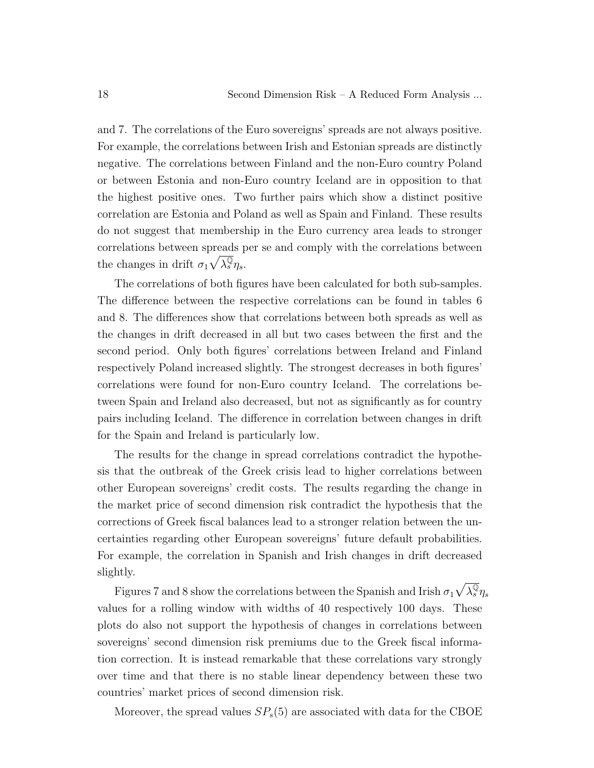and 7. The correlations of the Euro sovereigns' spreads are not always positive. For example, the correlations between Irish and Estonian spreads are distinctly negative. The correlations between Finland and the non-Euro country Poland or between Estonia and non-Euro country Iceland are in opposition to that the highest positive ones. Two further pairs which show a distinct positive correlation are Estonia and Poland as well as Spain and Finland. These results do not suggest that membership in the Euro currency area leads to stronger correlations between spreads per se and comply with the correlations between the changes in drift  $\sigma_1 \sqrt{\lambda_s^{\mathbb{Q}}} \eta_s$ .

The correlations of both figures have been calculated for both sub-samples. The difference between the respective correlations can be found in tables 6 and 8. The differences show that correlations between both spreads as well as the changes in drift decreased in all but two cases between the first and the second period. Only both figures' correlations between Ireland and Finland respectively Poland increased slightly. The strongest decreases in both figures' correlations were found for non-Euro country Iceland. The correlations between Spain and Ireland also decreased, but not as significantly as for country pairs including Iceland. The difference in correlation between changes in drift for the Spain and Ireland is particularly low.

The results for the change in spread correlations contradict the hypothesis that the outbreak of the Greek crisis lead to higher correlations between other European sovereigns' credit costs. The results regarding the change in the market price of second dimension risk contradict the hypothesis that the corrections of Greek fiscal balances lead to a stronger relation between the uncertainties regarding other European sovereigns' future default probabilities. For example, the correlation in Spanish and Irish changes in drift decreased slightly.

Figures 7 and 8 show the correlations between the Spanish and Irish  $\sigma_1\sqrt{\lambda_s^\mathbb{Q}}\eta_s$ values for a rolling window with widths of 40 respectively 100 days. These plots do also not support the hypothesis of changes in correlations between sovereigns' second dimension risk premiums due to the Greek fiscal information correction. It is instead remarkable that these correlations vary strongly over time and that there is no stable linear dependency between these two countries' market prices of second dimension risk.

Moreover, the spread values  $SP<sub>s</sub>(5)$  are associated with data for the CBOE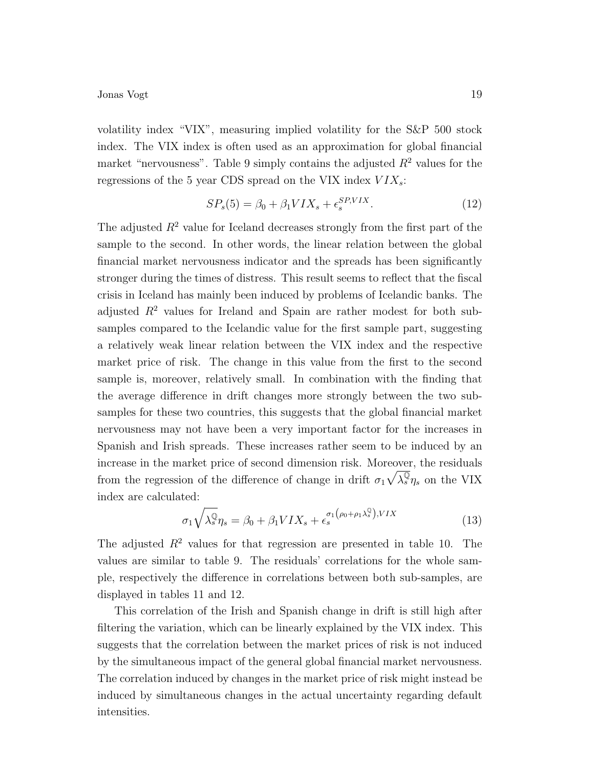volatility index "VIX", measuring implied volatility for the S&P 500 stock index. The VIX index is often used as an approximation for global financial market "nervousness". Table 9 simply contains the adjusted  $R^2$  values for the regressions of the 5 year CDS spread on the VIX index  $VIX_s$ :

$$
SP_s(5) = \beta_0 + \beta_1 VIX_s + \epsilon_s^{SP,VIX}.\tag{12}
$$

The adjusted  $R^2$  value for Iceland decreases strongly from the first part of the sample to the second. In other words, the linear relation between the global financial market nervousness indicator and the spreads has been significantly stronger during the times of distress. This result seems to reflect that the fiscal crisis in Iceland has mainly been induced by problems of Icelandic banks. The adjusted  $R^2$  values for Ireland and Spain are rather modest for both subsamples compared to the Icelandic value for the first sample part, suggesting a relatively weak linear relation between the VIX index and the respective market price of risk. The change in this value from the first to the second sample is, moreover, relatively small. In combination with the finding that the average difference in drift changes more strongly between the two subsamples for these two countries, this suggests that the global financial market nervousness may not have been a very important factor for the increases in Spanish and Irish spreads. These increases rather seem to be induced by an increase in the market price of second dimension risk. Moreover, the residuals from the regression of the difference of change in drift  $\sigma_1 \sqrt{\lambda_s^{\mathbb{Q}}} \eta_s$  on the VIX index are calculated:

$$
\sigma_1 \sqrt{\lambda_s^{\mathbb{Q}}} \eta_s = \beta_0 + \beta_1 V I X_s + \epsilon_s^{\sigma_1(\rho_0 + \rho_1 \lambda_s^{\mathbb{Q}}), V I X}
$$
\n(13)

The adjusted  $R^2$  values for that regression are presented in table 10. The values are similar to table 9. The residuals' correlations for the whole sample, respectively the difference in correlations between both sub-samples, are displayed in tables 11 and 12.

This correlation of the Irish and Spanish change in drift is still high after filtering the variation, which can be linearly explained by the VIX index. This suggests that the correlation between the market prices of risk is not induced by the simultaneous impact of the general global financial market nervousness. The correlation induced by changes in the market price of risk might instead be induced by simultaneous changes in the actual uncertainty regarding default intensities.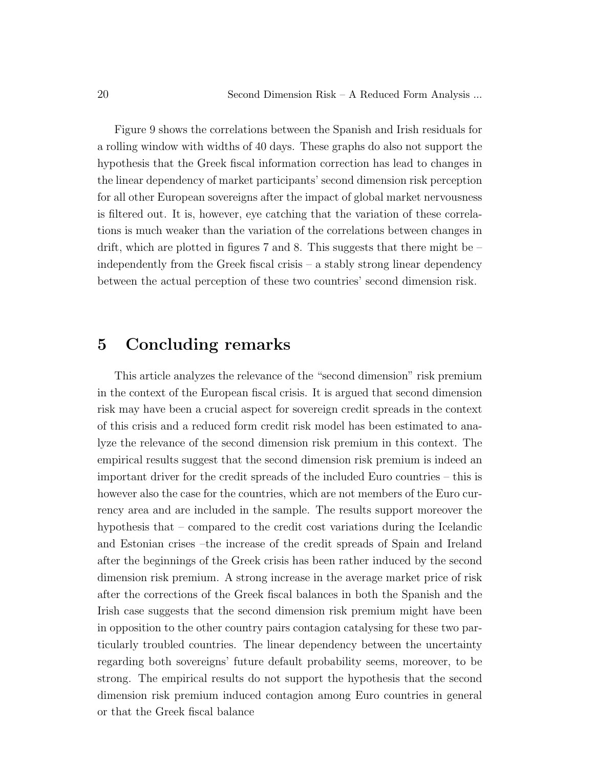Figure 9 shows the correlations between the Spanish and Irish residuals for a rolling window with widths of 40 days. These graphs do also not support the hypothesis that the Greek fiscal information correction has lead to changes in the linear dependency of market participants' second dimension risk perception for all other European sovereigns after the impact of global market nervousness is filtered out. It is, however, eye catching that the variation of these correlations is much weaker than the variation of the correlations between changes in drift, which are plotted in figures 7 and 8. This suggests that there might be  $$ independently from the Greek fiscal crisis – a stably strong linear dependency between the actual perception of these two countries' second dimension risk.

## 5 Concluding remarks

This article analyzes the relevance of the "second dimension" risk premium in the context of the European fiscal crisis. It is argued that second dimension risk may have been a crucial aspect for sovereign credit spreads in the context of this crisis and a reduced form credit risk model has been estimated to analyze the relevance of the second dimension risk premium in this context. The empirical results suggest that the second dimension risk premium is indeed an important driver for the credit spreads of the included Euro countries – this is however also the case for the countries, which are not members of the Euro currency area and are included in the sample. The results support moreover the hypothesis that – compared to the credit cost variations during the Icelandic and Estonian crises –the increase of the credit spreads of Spain and Ireland after the beginnings of the Greek crisis has been rather induced by the second dimension risk premium. A strong increase in the average market price of risk after the corrections of the Greek fiscal balances in both the Spanish and the Irish case suggests that the second dimension risk premium might have been in opposition to the other country pairs contagion catalysing for these two particularly troubled countries. The linear dependency between the uncertainty regarding both sovereigns' future default probability seems, moreover, to be strong. The empirical results do not support the hypothesis that the second dimension risk premium induced contagion among Euro countries in general or that the Greek fiscal balance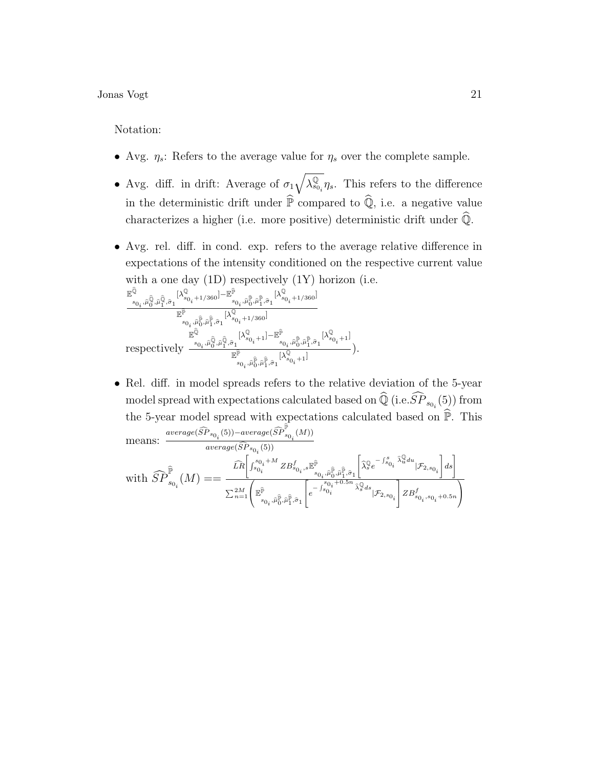Notation:

- Avg.  $\eta_s$ : Refers to the average value for  $\eta_s$  over the complete sample.
- Avg. diff. in drift: Average of  $\sigma_1 \sqrt{\lambda_{s_0}^{\mathbb{Q}}}$  $\mathcal{L}_{s_0}$ ,  $\eta_s$ . This refers to the difference in the deterministic drift under  $\hat{\mathbb{P}}$  compared to  $\hat{\mathbb{Q}}$ , i.e. a negative value characterizes a higher (i.e. more positive) deterministic drift under  $\hat{\mathbb{Q}}$ .
- Avg. rel. diff. in cond. exp. refers to the average relative difference in expectations of the intensity conditioned on the respective current value with a one day  $(1D)$  respectively  $(1Y)$  horizon (i.e.

$$
\frac{\mathbb{E}^{\widehat{\mathbb{Q}}}_{s_{0_{i}},\widehat{\mu}_{0}^{\widehat{0}},\widehat{\mu}_{1}^{\widehat{0}},\widehat{\sigma}_{1}}[\lambda_{s_{0_{i}}+1/360}^{\mathbb{Q}}]-\mathbb{E}^{\widehat{\mathbb{P}}}_{s_{0_{i}},\widehat{\mu}_{0}^{\widehat{0}},\widehat{\mu}_{1}^{\widehat{0}},\widehat{\sigma}_{1}}[\lambda_{s_{0_{i}}+1/360}^{\mathbb{Q}}] }{\mathbb{E}^{\widehat{\mathbb{P}}}_{s_{0_{i}},\widehat{\mu}_{0}^{\widehat{0}},\widehat{\mu}_{1}^{\widehat{0}},\widehat{\sigma}_{1}}[\lambda_{s_{0_{i}}+1/360}^{\mathbb{Q}}]} \newline \hspace*{1.5em}\mathbb{E}^{\widehat{\mathbb{Q}}}_{s_{0_{i}},\widehat{\mu}_{0}^{\widehat{0}},\widehat{\mu}_{1}^{\widehat{0}},\widehat{\sigma}_{1}}[\lambda_{s_{0_{i}}+1}^{\mathbb{Q}}]-\mathbb{E}^{\widehat{\mathbb{P}}}_{s_{0_{i}},\widehat{\mu}_{0}^{\widehat{0}},\widehat{\mu}_{1}^{\widehat{0}},\widehat{\sigma}_{1}}[\lambda_{s_{0_{i}}+1}^{\mathbb{Q}}]}^{\widehat{\mathbb{P}}}_{s_{0_{i}},\widehat{\mu}_{0}^{\widehat{0}},\widehat{\mu}_{1}^{\widehat{0}},\widehat{\sigma}_{1}}[\lambda_{s_{0_{i}}+1}^{\mathbb{Q}}]}),
$$

• Rel. diff. in model spreads refers to the relative deviation of the 5-year model spread with expectations calculated based on  $\widehat{\mathbb{Q}}$  (i.e.  $\widehat{SP}_{s_{0_i}}(5)$ ) from the 5-year model spread with expectations calculated based on  $\widehat{\mathbb{P}}$ . This means:  $\frac{average(\widehat{SP}_{s_{0_i}}(5)) - average(\widehat{SP}_{s}^{\mathbb{P}})}{score(\widehat{SP}_{s_{0_i}}(5)) - (5)}$  $s_{0i}^{\(M))}$ 

$$
\text{with } \widehat{SP}^{\widehat{\mathbb{P}}}_{s_{0_i}}(M) == \frac{\widehat{\operatorname{LR}}\left[\int_{s_{0_i}}^{s_{0_i}+M}ZB_{s_{0_i},s}^f\mathbb{E}^{\widehat{\mathbb{P}}}_{s_{0_i},\widehat{\mu}^{\widehat{\mathbb{P}}}_0,\widehat{\mu}^{\widehat{\mathbb{P}}}_1,\widehat{\sigma}_1}\left[\widehat{\lambda}^{\mathbb{Q}}_se^{-\int_{s_{0_i}}^{s_{0_i}}\widehat{\lambda}^{\mathbb{Q}}_u du}\vert \mathcal{F}_{2,s_{0_i}}\right]ds\right]}{\sum_{n=1}^{2M}\left(\mathbb{E}^{\widehat{\mathbb{P}}}_{s_{0_i},\widehat{\mu}^{\widehat{\mathbb{P}}}_0,\widehat{\mu}^{\widehat{\mathbb{P}}}_1,\widehat{\sigma}_1}\left[e^{-\int_{s_{0_i}}^{s_{0_i}+0.5n}\widehat{\lambda}^{\mathbb{Q}}_sds}\vert \mathcal{F}_{2,s_{0_i}}\right]ZB^f_{s_{0_i},s_{0_i}+0.5n}\right)}
$$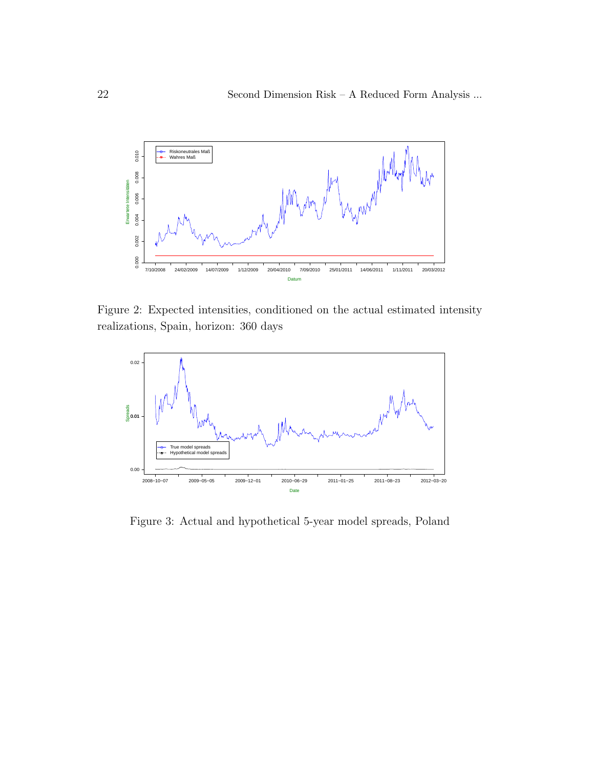

Figure 2: Expected intensities, conditioned on the actual estimated intensity realizations, Spain, horizon: 360 days



Figure 3: Actual and hypothetical 5-year model spreads, Poland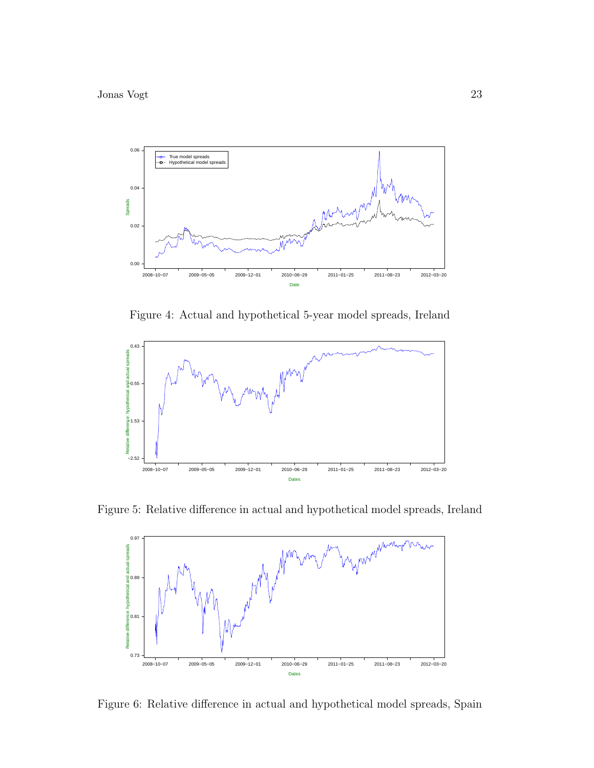

Figure 4: Actual and hypothetical 5-year model spreads, Ireland



Figure 5: Relative difference in actual and hypothetical model spreads, Ireland



Figure 6: Relative difference in actual and hypothetical model spreads, Spain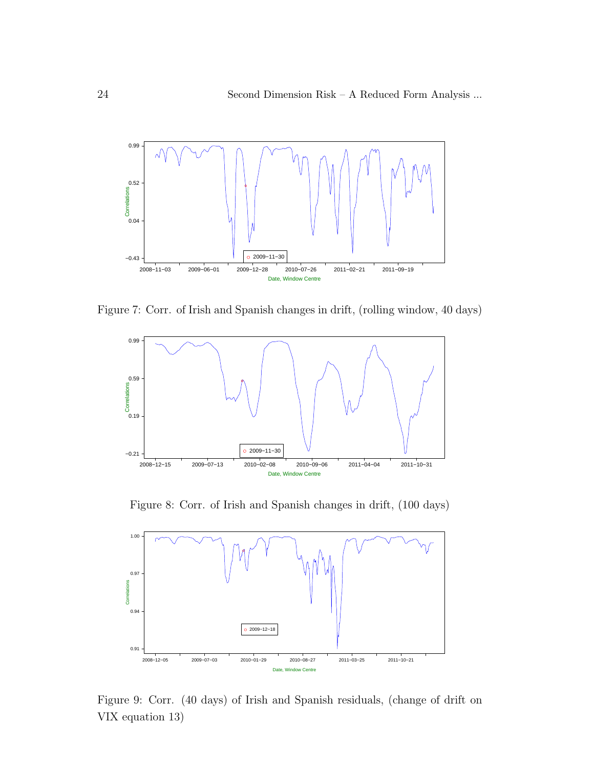

Figure 7: Corr. of Irish and Spanish changes in drift, (rolling window, 40 days)



Figure 8: Corr. of Irish and Spanish changes in drift, (100 days)



Figure 9: Corr. (40 days) of Irish and Spanish residuals, (change of drift on VIX equation 13)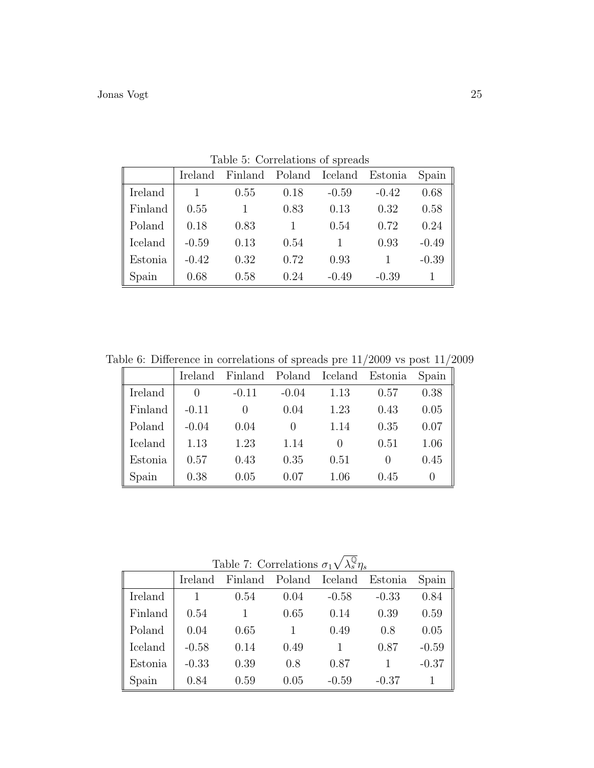|         | Ireland | Finland Poland Iceland Estonia |      |         |         | Spain   |
|---------|---------|--------------------------------|------|---------|---------|---------|
| Ireland |         | 0.55                           | 0.18 | $-0.59$ | $-0.42$ | 0.68    |
| Finland | 0.55    |                                | 0.83 | 0.13    | 0.32    | 0.58    |
| Poland  | 0.18    | 0.83                           |      | 0.54    | 0.72    | 0.24    |
| Iceland | $-0.59$ | 0.13                           | 0.54 |         | 0.93    | $-0.49$ |
| Estonia | $-0.42$ | 0.32                           | 0.72 | 0.93    |         | $-0.39$ |
| Spain   | 0.68    | 0.58                           | 0.24 | $-0.49$ | $-0.39$ |         |

Table 5: Correlations of spreads

Table 6: Difference in correlations of spreads pre  $11/2009$  vs post  $11/2009$ 

|         | Ireland | Finland |         | Poland Iceland | Estonia | Spain |
|---------|---------|---------|---------|----------------|---------|-------|
| Ireland |         | $-0.11$ | $-0.04$ | 1.13           | 0.57    | 0.38  |
| Finland | $-0.11$ |         | 0.04    | 1.23           | 0.43    | 0.05  |
| Poland  | $-0.04$ | 0.04    |         | 1.14           | 0.35    | 0.07  |
| Iceland | 1.13    | 1.23    | 1.14    |                | 0.51    | 1.06  |
| Estonia | 0.57    | 0.43    | 0.35    | 0.51           |         | 0.45  |
| Spain   | 0.38    | 0.05    | 0.07    | 1.06           | 0.45    |       |

| Table 7: Correlations $\sigma_1 \sqrt{\lambda_s^{\mathbb{Q}}} \eta_s$ |         |         |                |         |         |         |
|-----------------------------------------------------------------------|---------|---------|----------------|---------|---------|---------|
|                                                                       | Ireland | Finland | Poland Iceland |         | Estonia | Spain   |
| Ireland                                                               |         | 0.54    | 0.04           | $-0.58$ | $-0.33$ | 0.84    |
| Finland                                                               | 0.54    |         | 0.65           | 0.14    | 0.39    | 0.59    |
| Poland                                                                | 0.04    | 0.65    |                | 0.49    | 0.8     | 0.05    |
| Iceland                                                               | $-0.58$ | 0.14    | 0.49           |         | 0.87    | $-0.59$ |
| Estonia                                                               | $-0.33$ | 0.39    | 0.8            | 0.87    |         | $-0.37$ |
| Spain                                                                 | 0.84    | 0.59    | 0.05           | $-0.59$ | $-0.37$ |         |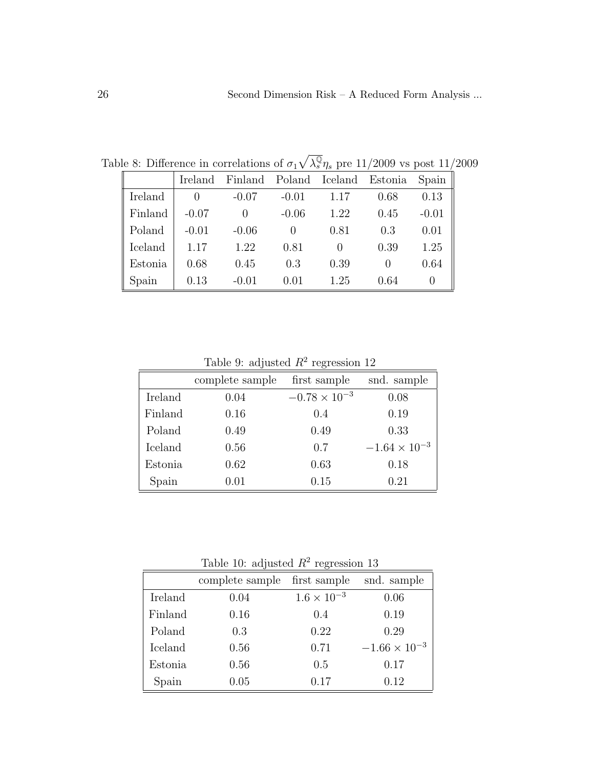|         | Ireland | Finland | Poland Iceland |      | Estonia | Spain   |
|---------|---------|---------|----------------|------|---------|---------|
| Ireland |         | $-0.07$ | $-0.01$        | 1.17 | 0.68    | 0.13    |
| Finland | $-0.07$ |         | $-0.06$        | 1.22 | 0.45    | $-0.01$ |
| Poland  | $-0.01$ | $-0.06$ |                | 0.81 | 0.3     | 0.01    |
| Iceland | 1.17    | 1.22    | 0.81           |      | 0.39    | 1.25    |
| Estonia | 0.68    | 0.45    | 0.3            | 0.39 |         | 0.64    |
| Spain   | 0.13    | $-0.01$ | 0.01           | 1.25 | 0.64    |         |

Table 8: Difference in correlations of  $\sigma_1 \sqrt{\lambda_s^{\mathbb{Q}}} \eta_s$  pre 11/2009 vs post 11/2009

Table 9: adjusted  $R^2$  regression 12

|         | complete sample | first sample           | snd. sample            |
|---------|-----------------|------------------------|------------------------|
| Ireland | 0.04            | $-0.78 \times 10^{-3}$ | 0.08                   |
| Finland | 0.16            | 0.4                    | 0.19                   |
| Poland  | 0.49            | 0.49                   | 0.33                   |
| Iceland | 0.56            | 0.7                    | $-1.64 \times 10^{-3}$ |
| Estonia | 0.62            | 0.63                   | 0.18                   |
| Spain   | 0.01            | 0.15                   | 0.21                   |

Table 10: adjusted  $R^2$  regression 13

|         |                 | $\check{ }$          |                        |
|---------|-----------------|----------------------|------------------------|
|         | complete sample | first sample         | snd. sample            |
| Ireland | 0.04            | $1.6 \times 10^{-3}$ | 0.06                   |
| Finland | 0.16            | 0.4                  | 0.19                   |
| Poland  | 0.3             | 0.22                 | 0.29                   |
| Iceland | 0.56            | 0.71                 | $-1.66 \times 10^{-3}$ |
| Estonia | 0.56            | 0.5                  | 0.17                   |
| Spain   | 0.05            | 0.17                 | 0.12                   |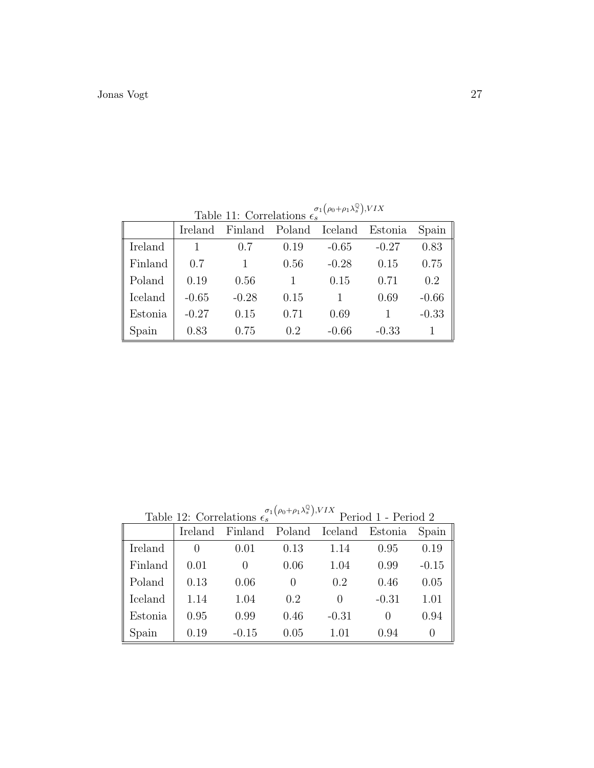Table 11: Correlations  $\epsilon_s^{\sigma_1(\rho_0+\rho_1\lambda_s^0),VIX}$ 

|         | Ireland | Finland Poland Iceland Estonia |      |         |         | Spain   |
|---------|---------|--------------------------------|------|---------|---------|---------|
| Ireland |         | (0.7)                          | 0.19 | $-0.65$ | $-0.27$ | 0.83    |
| Finland | 0.7     |                                | 0.56 | $-0.28$ | 0.15    | 0.75    |
| Poland  | 0.19    | 0.56                           |      | 0.15    | 0.71    | 0.2     |
| Iceland | $-0.65$ | $-0.28$                        | 0.15 |         | 0.69    | $-0.66$ |
| Estonia | $-0.27$ | 0.15                           | 0.71 | 0.69    |         | $-0.33$ |
| Spain   | 0.83    | 0.75                           | 0.2  | $-0.66$ | $-0.33$ |         |

Table 12: Correlations  $\epsilon_s^{\sigma_1(\rho_0+\rho_1\lambda_s^{\mathbb{Q}}),VIX}$  Period 1 - Period 2

| <b>Table 12. Correlations to</b> |                  |          | 1 GHOU 1 - 1 GHOU 2 |                                |                  |          |
|----------------------------------|------------------|----------|---------------------|--------------------------------|------------------|----------|
|                                  | Ireland          |          |                     | Finland Poland Iceland Estonia |                  | Spain    |
| Ireland                          | $\left( \right)$ | 0.01     | 0.13                | 1.14                           | 0.95             | 0.19     |
| Finland                          | 0.01             | $\theta$ | 0.06                | 1.04                           | 0.99             | $-0.15$  |
| Poland                           | 0.13             | 0.06     | $\left( \right)$    | 0.2                            | 0.46             | 0.05     |
| Iceland                          | 1.14             | 1.04     | 0.2                 | $\left( \right)$               | $-0.31$          | 1.01     |
| Estonia                          | 0.95             | 0.99     | 0.46                | $-0.31$                        | $\left( \right)$ | 0.94     |
| Spain                            | 0.19             | $-0.15$  | 0.05                | 1.01                           | 0.94             | $\theta$ |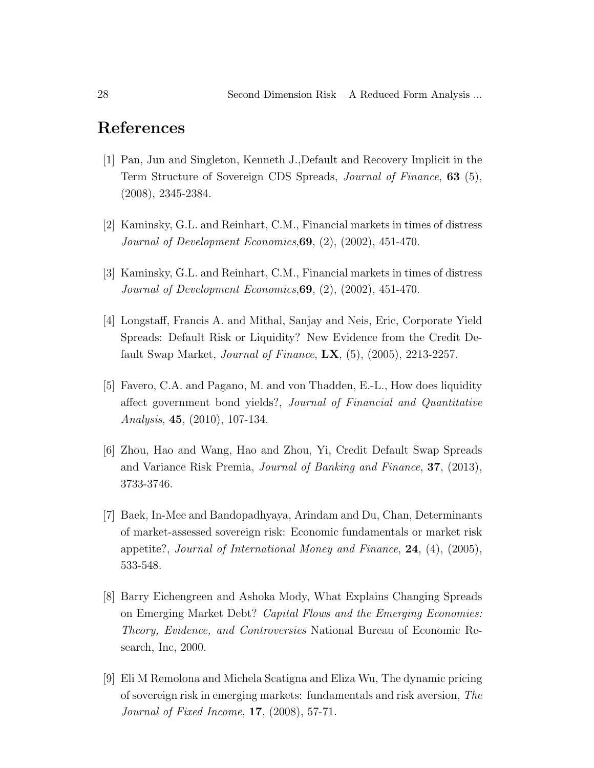## References

- [1] Pan, Jun and Singleton, Kenneth J.,Default and Recovery Implicit in the Term Structure of Sovereign CDS Spreads, *Journal of Finance*, **63** (5), (2008), 2345-2384.
- [2] Kaminsky, G.L. and Reinhart, C.M., Financial markets in times of distress Journal of Development Economics,69, (2), (2002), 451-470.
- [3] Kaminsky, G.L. and Reinhart, C.M., Financial markets in times of distress Journal of Development Economics,69, (2), (2002), 451-470.
- [4] Longstaff, Francis A. and Mithal, Sanjay and Neis, Eric, Corporate Yield Spreads: Default Risk or Liquidity? New Evidence from the Credit Default Swap Market, *Journal of Finance*,  $\mathbf{L}\mathbf{X}$ , (5), (2005), 2213-2257.
- [5] Favero, C.A. and Pagano, M. and von Thadden, E.-L., How does liquidity affect government bond yields?, Journal of Financial and Quantitative Analysis, 45, (2010), 107-134.
- [6] Zhou, Hao and Wang, Hao and Zhou, Yi, Credit Default Swap Spreads and Variance Risk Premia, Journal of Banking and Finance, 37, (2013), 3733-3746.
- [7] Baek, In-Mee and Bandopadhyaya, Arindam and Du, Chan, Determinants of market-assessed sovereign risk: Economic fundamentals or market risk appetite?, Journal of International Money and Finance,  $24$ ,  $(4)$ ,  $(2005)$ , 533-548.
- [8] Barry Eichengreen and Ashoka Mody, What Explains Changing Spreads on Emerging Market Debt? Capital Flows and the Emerging Economies: Theory, Evidence, and Controversies National Bureau of Economic Research, Inc, 2000.
- [9] Eli M Remolona and Michela Scatigna and Eliza Wu, The dynamic pricing of sovereign risk in emerging markets: fundamentals and risk aversion, The Journal of Fixed Income, 17, (2008), 57-71.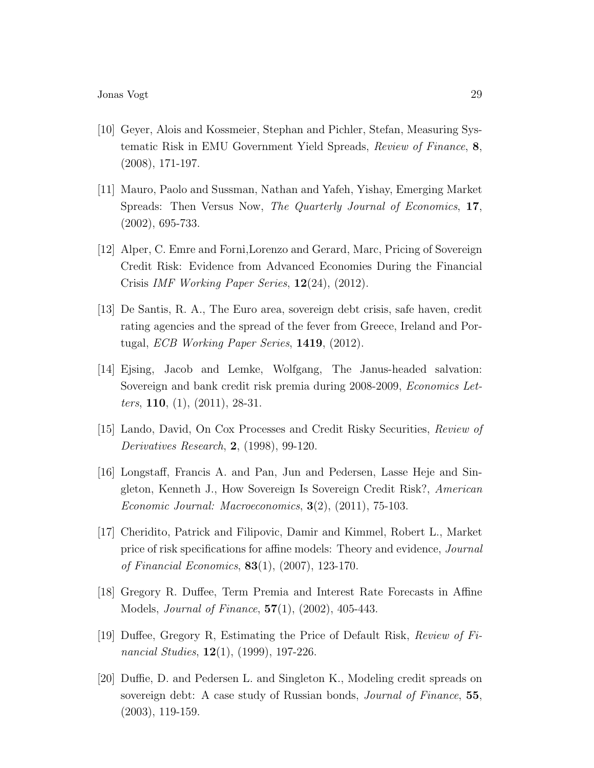- [10] Geyer, Alois and Kossmeier, Stephan and Pichler, Stefan, Measuring Systematic Risk in EMU Government Yield Spreads, Review of Finance, 8, (2008), 171-197.
- [11] Mauro, Paolo and Sussman, Nathan and Yafeh, Yishay, Emerging Market Spreads: Then Versus Now, The Quarterly Journal of Economics, 17, (2002), 695-733.
- [12] Alper, C. Emre and Forni,Lorenzo and Gerard, Marc, Pricing of Sovereign Credit Risk: Evidence from Advanced Economies During the Financial Crisis IMF Working Paper Series, 12(24), (2012).
- [13] De Santis, R. A., The Euro area, sovereign debt crisis, safe haven, credit rating agencies and the spread of the fever from Greece, Ireland and Portugal, ECB Working Paper Series, 1419, (2012).
- [14] Ejsing, Jacob and Lemke, Wolfgang, The Janus-headed salvation: Sovereign and bank credit risk premia during 2008-2009, *Economics Letters*, **110**, (1), (2011), 28-31.
- [15] Lando, David, On Cox Processes and Credit Risky Securities, Review of Derivatives Research, 2, (1998), 99-120.
- [16] Longstaff, Francis A. and Pan, Jun and Pedersen, Lasse Heje and Singleton, Kenneth J., How Sovereign Is Sovereign Credit Risk?, American Economic Journal: Macroeconomics, 3(2), (2011), 75-103.
- [17] Cheridito, Patrick and Filipovic, Damir and Kimmel, Robert L., Market price of risk specifications for affine models: Theory and evidence, Journal of Financial Economics, 83(1), (2007), 123-170.
- [18] Gregory R. Duffee, Term Premia and Interest Rate Forecasts in Affine Models, Journal of Finance, 57(1), (2002), 405-443.
- [19] Duffee, Gregory R, Estimating the Price of Default Risk, Review of Financial Studies,  $12(1)$ , (1999), 197-226.
- [20] Duffie, D. and Pedersen L. and Singleton K., Modeling credit spreads on sovereign debt: A case study of Russian bonds, *Journal of Finance*, **55**, (2003), 119-159.